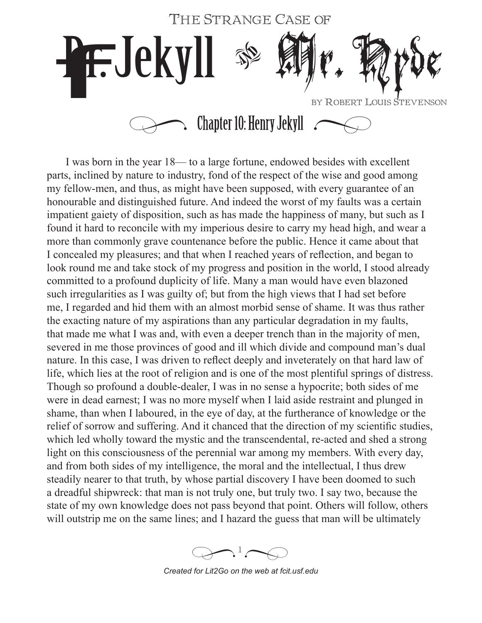

I was born in the year 18— to a large fortune, endowed besides with excellent parts, inclined by nature to industry, fond of the respect of the wise and good among my fellow-men, and thus, as might have been supposed, with every guarantee of an honourable and distinguished future. And indeed the worst of my faults was a certain impatient gaiety of disposition, such as has made the happiness of many, but such as I found it hard to reconcile with my imperious desire to carry my head high, and wear a more than commonly grave countenance before the public. Hence it came about that I concealed my pleasures; and that when I reached years of reflection, and began to look round me and take stock of my progress and position in the world, I stood already committed to a profound duplicity of life. Many a man would have even blazoned such irregularities as I was guilty of; but from the high views that I had set before me, I regarded and hid them with an almost morbid sense of shame. It was thus rather the exacting nature of my aspirations than any particular degradation in my faults, that made me what I was and, with even a deeper trench than in the majority of men, severed in me those provinces of good and ill which divide and compound man's dual nature. In this case, I was driven to reflect deeply and inveterately on that hard law of life, which lies at the root of religion and is one of the most plentiful springs of distress. Though so profound a double-dealer, I was in no sense a hypocrite; both sides of me were in dead earnest; I was no more myself when I laid aside restraint and plunged in shame, than when I laboured, in the eye of day, at the furtherance of knowledge or the relief of sorrow and suffering. And it chanced that the direction of my scientific studies, which led wholly toward the mystic and the transcendental, re-acted and shed a strong light on this consciousness of the perennial war among my members. With every day, and from both sides of my intelligence, the moral and the intellectual, I thus drew steadily nearer to that truth, by whose partial discovery I have been doomed to such a dreadful shipwreck: that man is not truly one, but truly two. I say two, because the state of my own knowledge does not pass beyond that point. Others will follow, others will outstrip me on the same lines; and I hazard the guess that man will be ultimately

 $\bigotimes$ <sup>1</sup> $\bigotimes$ 

*Created for Lit2Go on the web at fcit.usf.edu*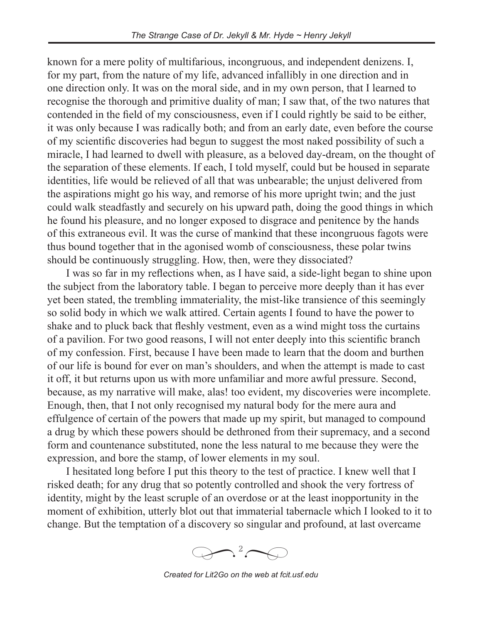known for a mere polity of multifarious, incongruous, and independent denizens. I, for my part, from the nature of my life, advanced infallibly in one direction and in one direction only. It was on the moral side, and in my own person, that I learned to recognise the thorough and primitive duality of man; I saw that, of the two natures that contended in the field of my consciousness, even if I could rightly be said to be either, it was only because I was radically both; and from an early date, even before the course of my scientific discoveries had begun to suggest the most naked possibility of such a miracle, I had learned to dwell with pleasure, as a beloved day-dream, on the thought of the separation of these elements. If each, I told myself, could but be housed in separate identities, life would be relieved of all that was unbearable; the unjust delivered from the aspirations might go his way, and remorse of his more upright twin; and the just could walk steadfastly and securely on his upward path, doing the good things in which he found his pleasure, and no longer exposed to disgrace and penitence by the hands of this extraneous evil. It was the curse of mankind that these incongruous fagots were thus bound together that in the agonised womb of consciousness, these polar twins should be continuously struggling. How, then, were they dissociated?

I was so far in my reflections when, as I have said, a side-light began to shine upon the subject from the laboratory table. I began to perceive more deeply than it has ever yet been stated, the trembling immateriality, the mist-like transience of this seemingly so solid body in which we walk attired. Certain agents I found to have the power to shake and to pluck back that fleshly vestment, even as a wind might toss the curtains of a pavilion. For two good reasons, I will not enter deeply into this scientific branch of my confession. First, because I have been made to learn that the doom and burthen of our life is bound for ever on man's shoulders, and when the attempt is made to cast it off, it but returns upon us with more unfamiliar and more awful pressure. Second, because, as my narrative will make, alas! too evident, my discoveries were incomplete. Enough, then, that I not only recognised my natural body for the mere aura and effulgence of certain of the powers that made up my spirit, but managed to compound a drug by which these powers should be dethroned from their supremacy, and a second form and countenance substituted, none the less natural to me because they were the expression, and bore the stamp, of lower elements in my soul.

I hesitated long before I put this theory to the test of practice. I knew well that I risked death; for any drug that so potently controlled and shook the very fortress of identity, might by the least scruple of an overdose or at the least inopportunity in the moment of exhibition, utterly blot out that immaterial tabernacle which I looked to it to change. But the temptation of a discovery so singular and profound, at last overcame



*Created for Lit2Go on the web at fcit.usf.edu*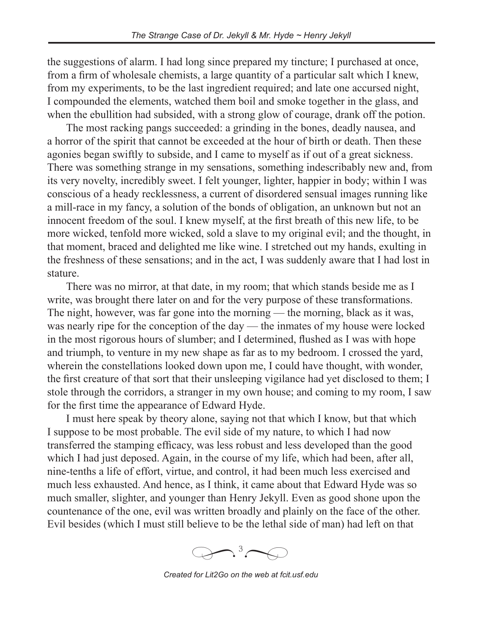the suggestions of alarm. I had long since prepared my tincture; I purchased at once, from a firm of wholesale chemists, a large quantity of a particular salt which I knew, from my experiments, to be the last ingredient required; and late one accursed night, I compounded the elements, watched them boil and smoke together in the glass, and when the ebullition had subsided, with a strong glow of courage, drank off the potion.

The most racking pangs succeeded: a grinding in the bones, deadly nausea, and a horror of the spirit that cannot be exceeded at the hour of birth or death. Then these agonies began swiftly to subside, and I came to myself as if out of a great sickness. There was something strange in my sensations, something indescribably new and, from its very novelty, incredibly sweet. I felt younger, lighter, happier in body; within I was conscious of a heady recklessness, a current of disordered sensual images running like a mill-race in my fancy, a solution of the bonds of obligation, an unknown but not an innocent freedom of the soul. I knew myself, at the first breath of this new life, to be more wicked, tenfold more wicked, sold a slave to my original evil; and the thought, in that moment, braced and delighted me like wine. I stretched out my hands, exulting in the freshness of these sensations; and in the act, I was suddenly aware that I had lost in stature.

There was no mirror, at that date, in my room; that which stands beside me as I write, was brought there later on and for the very purpose of these transformations. The night, however, was far gone into the morning — the morning, black as it was, was nearly ripe for the conception of the day — the inmates of my house were locked in the most rigorous hours of slumber; and I determined, flushed as I was with hope and triumph, to venture in my new shape as far as to my bedroom. I crossed the yard, wherein the constellations looked down upon me, I could have thought, with wonder, the first creature of that sort that their unsleeping vigilance had yet disclosed to them; I stole through the corridors, a stranger in my own house; and coming to my room, I saw for the first time the appearance of Edward Hyde.

I must here speak by theory alone, saying not that which I know, but that which I suppose to be most probable. The evil side of my nature, to which I had now transferred the stamping efficacy, was less robust and less developed than the good which I had just deposed. Again, in the course of my life, which had been, after all, nine-tenths a life of effort, virtue, and control, it had been much less exercised and much less exhausted. And hence, as I think, it came about that Edward Hyde was so much smaller, slighter, and younger than Henry Jekyll. Even as good shone upon the countenance of the one, evil was written broadly and plainly on the face of the other. Evil besides (which I must still believe to be the lethal side of man) had left on that



*Created for Lit2Go on the web at fcit.usf.edu*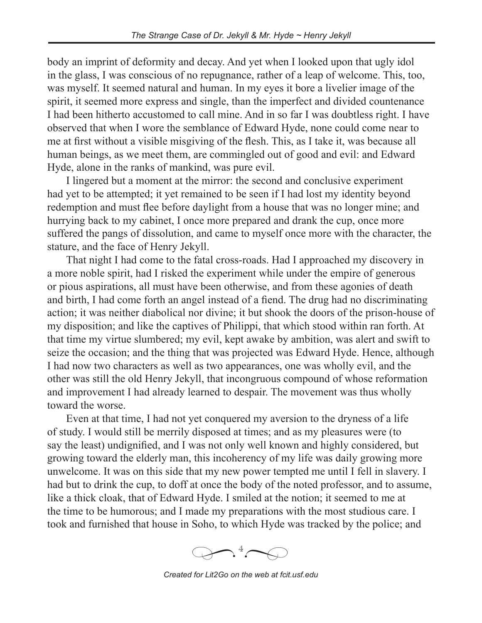body an imprint of deformity and decay. And yet when I looked upon that ugly idol in the glass, I was conscious of no repugnance, rather of a leap of welcome. This, too, was myself. It seemed natural and human. In my eyes it bore a livelier image of the spirit, it seemed more express and single, than the imperfect and divided countenance I had been hitherto accustomed to call mine. And in so far I was doubtless right. I have observed that when I wore the semblance of Edward Hyde, none could come near to me at first without a visible misgiving of the flesh. This, as I take it, was because all human beings, as we meet them, are commingled out of good and evil: and Edward Hyde, alone in the ranks of mankind, was pure evil.

I lingered but a moment at the mirror: the second and conclusive experiment had yet to be attempted; it yet remained to be seen if I had lost my identity beyond redemption and must flee before daylight from a house that was no longer mine; and hurrying back to my cabinet, I once more prepared and drank the cup, once more suffered the pangs of dissolution, and came to myself once more with the character, the stature, and the face of Henry Jekyll.

That night I had come to the fatal cross-roads. Had I approached my discovery in a more noble spirit, had I risked the experiment while under the empire of generous or pious aspirations, all must have been otherwise, and from these agonies of death and birth, I had come forth an angel instead of a fiend. The drug had no discriminating action; it was neither diabolical nor divine; it but shook the doors of the prison-house of my disposition; and like the captives of Philippi, that which stood within ran forth. At that time my virtue slumbered; my evil, kept awake by ambition, was alert and swift to seize the occasion; and the thing that was projected was Edward Hyde. Hence, although I had now two characters as well as two appearances, one was wholly evil, and the other was still the old Henry Jekyll, that incongruous compound of whose reformation and improvement I had already learned to despair. The movement was thus wholly toward the worse.

Even at that time, I had not yet conquered my aversion to the dryness of a life of study. I would still be merrily disposed at times; and as my pleasures were (to say the least) undignified, and I was not only well known and highly considered, but growing toward the elderly man, this incoherency of my life was daily growing more unwelcome. It was on this side that my new power tempted me until I fell in slavery. I had but to drink the cup, to doff at once the body of the noted professor, and to assume, like a thick cloak, that of Edward Hyde. I smiled at the notion; it seemed to me at the time to be humorous; and I made my preparations with the most studious care. I took and furnished that house in Soho, to which Hyde was tracked by the police; and



*Created for Lit2Go on the web at fcit.usf.edu*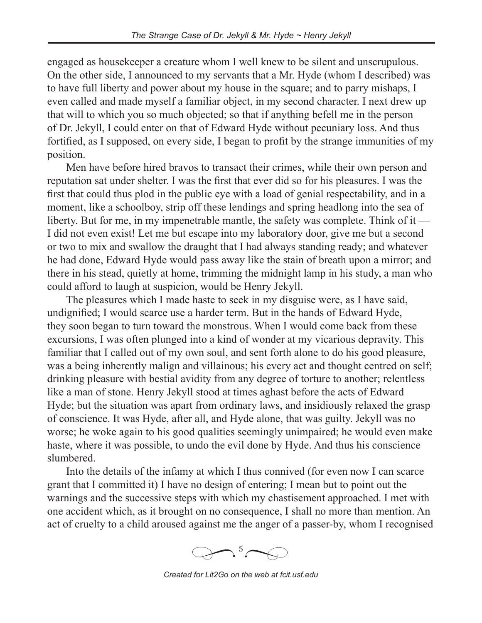engaged as housekeeper a creature whom I well knew to be silent and unscrupulous. On the other side, I announced to my servants that a Mr. Hyde (whom I described) was to have full liberty and power about my house in the square; and to parry mishaps, I even called and made myself a familiar object, in my second character. I next drew up that will to which you so much objected; so that if anything befell me in the person of Dr. Jekyll, I could enter on that of Edward Hyde without pecuniary loss. And thus fortified, as I supposed, on every side, I began to profit by the strange immunities of my position.

Men have before hired bravos to transact their crimes, while their own person and reputation sat under shelter. I was the first that ever did so for his pleasures. I was the first that could thus plod in the public eye with a load of genial respectability, and in a moment, like a schoolboy, strip off these lendings and spring headlong into the sea of liberty. But for me, in my impenetrable mantle, the safety was complete. Think of it — I did not even exist! Let me but escape into my laboratory door, give me but a second or two to mix and swallow the draught that I had always standing ready; and whatever he had done, Edward Hyde would pass away like the stain of breath upon a mirror; and there in his stead, quietly at home, trimming the midnight lamp in his study, a man who could afford to laugh at suspicion, would be Henry Jekyll.

The pleasures which I made haste to seek in my disguise were, as I have said, undignified; I would scarce use a harder term. But in the hands of Edward Hyde, they soon began to turn toward the monstrous. When I would come back from these excursions, I was often plunged into a kind of wonder at my vicarious depravity. This familiar that I called out of my own soul, and sent forth alone to do his good pleasure, was a being inherently malign and villainous; his every act and thought centred on self; drinking pleasure with bestial avidity from any degree of torture to another; relentless like a man of stone. Henry Jekyll stood at times aghast before the acts of Edward Hyde; but the situation was apart from ordinary laws, and insidiously relaxed the grasp of conscience. It was Hyde, after all, and Hyde alone, that was guilty. Jekyll was no worse; he woke again to his good qualities seemingly unimpaired; he would even make haste, where it was possible, to undo the evil done by Hyde. And thus his conscience slumbered.

Into the details of the infamy at which I thus connived (for even now I can scarce grant that I committed it) I have no design of entering; I mean but to point out the warnings and the successive steps with which my chastisement approached. I met with one accident which, as it brought on no consequence, I shall no more than mention. An act of cruelty to a child aroused against me the anger of a passer-by, whom I recognised



*Created for Lit2Go on the web at fcit.usf.edu*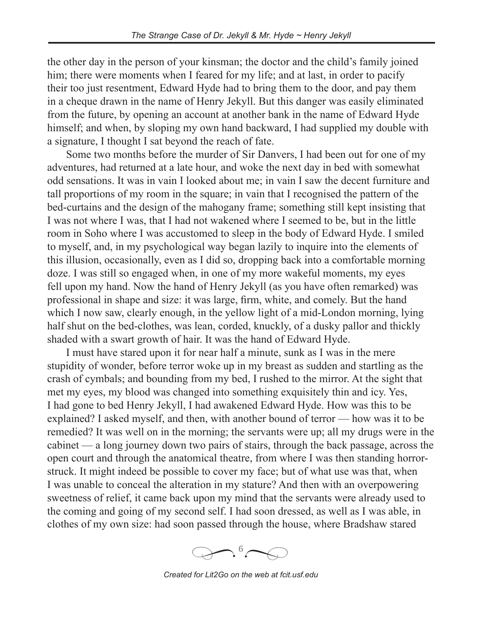the other day in the person of your kinsman; the doctor and the child's family joined him; there were moments when I feared for my life; and at last, in order to pacify their too just resentment, Edward Hyde had to bring them to the door, and pay them in a cheque drawn in the name of Henry Jekyll. But this danger was easily eliminated from the future, by opening an account at another bank in the name of Edward Hyde himself; and when, by sloping my own hand backward, I had supplied my double with a signature, I thought I sat beyond the reach of fate.

Some two months before the murder of Sir Danvers, I had been out for one of my adventures, had returned at a late hour, and woke the next day in bed with somewhat odd sensations. It was in vain I looked about me; in vain I saw the decent furniture and tall proportions of my room in the square; in vain that I recognised the pattern of the bed-curtains and the design of the mahogany frame; something still kept insisting that I was not where I was, that I had not wakened where I seemed to be, but in the little room in Soho where I was accustomed to sleep in the body of Edward Hyde. I smiled to myself, and, in my psychological way began lazily to inquire into the elements of this illusion, occasionally, even as I did so, dropping back into a comfortable morning doze. I was still so engaged when, in one of my more wakeful moments, my eyes fell upon my hand. Now the hand of Henry Jekyll (as you have often remarked) was professional in shape and size: it was large, firm, white, and comely. But the hand which I now saw, clearly enough, in the yellow light of a mid-London morning, lying half shut on the bed-clothes, was lean, corded, knuckly, of a dusky pallor and thickly shaded with a swart growth of hair. It was the hand of Edward Hyde.

I must have stared upon it for near half a minute, sunk as I was in the mere stupidity of wonder, before terror woke up in my breast as sudden and startling as the crash of cymbals; and bounding from my bed, I rushed to the mirror. At the sight that met my eyes, my blood was changed into something exquisitely thin and icy. Yes, I had gone to bed Henry Jekyll, I had awakened Edward Hyde. How was this to be explained? I asked myself, and then, with another bound of terror — how was it to be remedied? It was well on in the morning; the servants were up; all my drugs were in the cabinet — a long journey down two pairs of stairs, through the back passage, across the open court and through the anatomical theatre, from where I was then standing horrorstruck. It might indeed be possible to cover my face; but of what use was that, when I was unable to conceal the alteration in my stature? And then with an overpowering sweetness of relief, it came back upon my mind that the servants were already used to the coming and going of my second self. I had soon dressed, as well as I was able, in clothes of my own size: had soon passed through the house, where Bradshaw stared

 $\bigoplus$   $\bullet$ <sup>6</sup> *�*

*Created for Lit2Go on the web at fcit.usf.edu*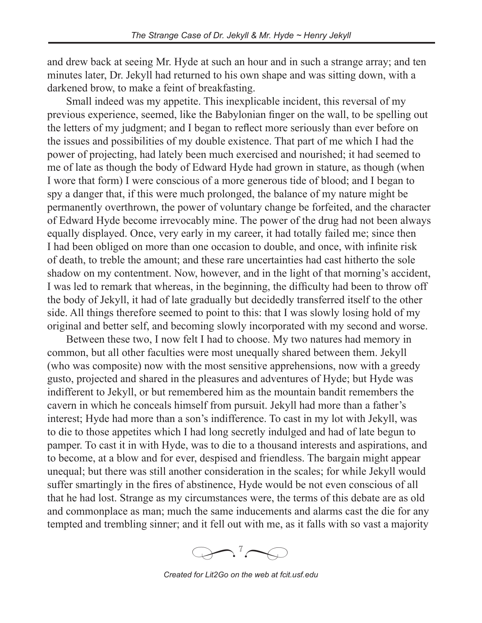and drew back at seeing Mr. Hyde at such an hour and in such a strange array; and ten minutes later, Dr. Jekyll had returned to his own shape and was sitting down, with a darkened brow, to make a feint of breakfasting.

Small indeed was my appetite. This inexplicable incident, this reversal of my previous experience, seemed, like the Babylonian finger on the wall, to be spelling out the letters of my judgment; and I began to reflect more seriously than ever before on the issues and possibilities of my double existence. That part of me which I had the power of projecting, had lately been much exercised and nourished; it had seemed to me of late as though the body of Edward Hyde had grown in stature, as though (when I wore that form) I were conscious of a more generous tide of blood; and I began to spy a danger that, if this were much prolonged, the balance of my nature might be permanently overthrown, the power of voluntary change be forfeited, and the character of Edward Hyde become irrevocably mine. The power of the drug had not been always equally displayed. Once, very early in my career, it had totally failed me; since then I had been obliged on more than one occasion to double, and once, with infinite risk of death, to treble the amount; and these rare uncertainties had cast hitherto the sole shadow on my contentment. Now, however, and in the light of that morning's accident, I was led to remark that whereas, in the beginning, the difficulty had been to throw off the body of Jekyll, it had of late gradually but decidedly transferred itself to the other side. All things therefore seemed to point to this: that I was slowly losing hold of my original and better self, and becoming slowly incorporated with my second and worse.

Between these two, I now felt I had to choose. My two natures had memory in common, but all other faculties were most unequally shared between them. Jekyll (who was composite) now with the most sensitive apprehensions, now with a greedy gusto, projected and shared in the pleasures and adventures of Hyde; but Hyde was indifferent to Jekyll, or but remembered him as the mountain bandit remembers the cavern in which he conceals himself from pursuit. Jekyll had more than a father's interest; Hyde had more than a son's indifference. To cast in my lot with Jekyll, was to die to those appetites which I had long secretly indulged and had of late begun to pamper. To cast it in with Hyde, was to die to a thousand interests and aspirations, and to become, at a blow and for ever, despised and friendless. The bargain might appear unequal; but there was still another consideration in the scales; for while Jekyll would suffer smartingly in the fires of abstinence, Hyde would be not even conscious of all that he had lost. Strange as my circumstances were, the terms of this debate are as old and commonplace as man; much the same inducements and alarms cast the die for any tempted and trembling sinner; and it fell out with me, as it falls with so vast a majority



*Created for Lit2Go on the web at fcit.usf.edu*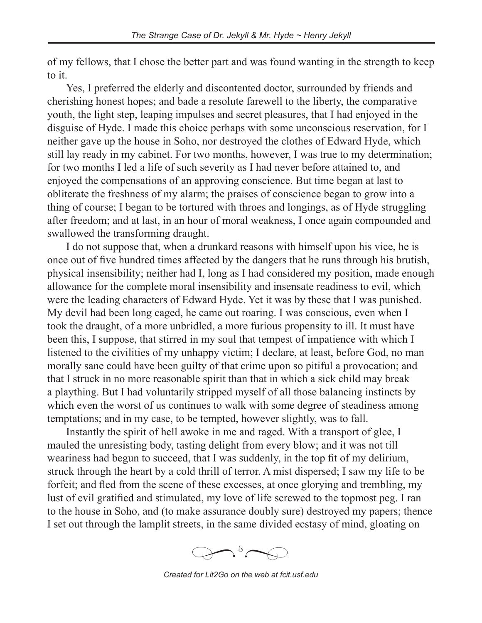of my fellows, that I chose the better part and was found wanting in the strength to keep to it.

Yes, I preferred the elderly and discontented doctor, surrounded by friends and cherishing honest hopes; and bade a resolute farewell to the liberty, the comparative youth, the light step, leaping impulses and secret pleasures, that I had enjoyed in the disguise of Hyde. I made this choice perhaps with some unconscious reservation, for I neither gave up the house in Soho, nor destroyed the clothes of Edward Hyde, which still lay ready in my cabinet. For two months, however, I was true to my determination; for two months I led a life of such severity as I had never before attained to, and enjoyed the compensations of an approving conscience. But time began at last to obliterate the freshness of my alarm; the praises of conscience began to grow into a thing of course; I began to be tortured with throes and longings, as of Hyde struggling after freedom; and at last, in an hour of moral weakness, I once again compounded and swallowed the transforming draught.

I do not suppose that, when a drunkard reasons with himself upon his vice, he is once out of five hundred times affected by the dangers that he runs through his brutish, physical insensibility; neither had I, long as I had considered my position, made enough allowance for the complete moral insensibility and insensate readiness to evil, which were the leading characters of Edward Hyde. Yet it was by these that I was punished. My devil had been long caged, he came out roaring. I was conscious, even when I took the draught, of a more unbridled, a more furious propensity to ill. It must have been this, I suppose, that stirred in my soul that tempest of impatience with which I listened to the civilities of my unhappy victim; I declare, at least, before God, no man morally sane could have been guilty of that crime upon so pitiful a provocation; and that I struck in no more reasonable spirit than that in which a sick child may break a plaything. But I had voluntarily stripped myself of all those balancing instincts by which even the worst of us continues to walk with some degree of steadiness among temptations; and in my case, to be tempted, however slightly, was to fall.

Instantly the spirit of hell awoke in me and raged. With a transport of glee, I mauled the unresisting body, tasting delight from every blow; and it was not till weariness had begun to succeed, that I was suddenly, in the top fit of my delirium, struck through the heart by a cold thrill of terror. A mist dispersed; I saw my life to be forfeit; and fled from the scene of these excesses, at once glorying and trembling, my lust of evil gratified and stimulated, my love of life screwed to the topmost peg. I ran to the house in Soho, and (to make assurance doubly sure) destroyed my papers; thence I set out through the lamplit streets, in the same divided ecstasy of mind, gloating on



*Created for Lit2Go on the web at fcit.usf.edu*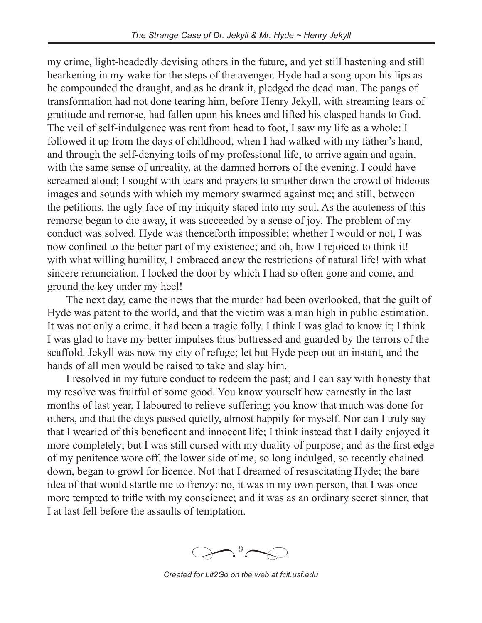my crime, light-headedly devising others in the future, and yet still hastening and still hearkening in my wake for the steps of the avenger. Hyde had a song upon his lips as he compounded the draught, and as he drank it, pledged the dead man. The pangs of transformation had not done tearing him, before Henry Jekyll, with streaming tears of gratitude and remorse, had fallen upon his knees and lifted his clasped hands to God. The veil of self-indulgence was rent from head to foot, I saw my life as a whole: I followed it up from the days of childhood, when I had walked with my father's hand, and through the self-denying toils of my professional life, to arrive again and again, with the same sense of unreality, at the damned horrors of the evening. I could have screamed aloud; I sought with tears and prayers to smother down the crowd of hideous images and sounds with which my memory swarmed against me; and still, between the petitions, the ugly face of my iniquity stared into my soul. As the acuteness of this remorse began to die away, it was succeeded by a sense of joy. The problem of my conduct was solved. Hyde was thenceforth impossible; whether I would or not, I was now confined to the better part of my existence; and oh, how I rejoiced to think it! with what willing humility, I embraced anew the restrictions of natural life! with what sincere renunciation, I locked the door by which I had so often gone and come, and ground the key under my heel!

The next day, came the news that the murder had been overlooked, that the guilt of Hyde was patent to the world, and that the victim was a man high in public estimation. It was not only a crime, it had been a tragic folly. I think I was glad to know it; I think I was glad to have my better impulses thus buttressed and guarded by the terrors of the scaffold. Jekyll was now my city of refuge; let but Hyde peep out an instant, and the hands of all men would be raised to take and slay him.

I resolved in my future conduct to redeem the past; and I can say with honesty that my resolve was fruitful of some good. You know yourself how earnestly in the last months of last year, I laboured to relieve suffering; you know that much was done for others, and that the days passed quietly, almost happily for myself. Nor can I truly say that I wearied of this beneficent and innocent life; I think instead that I daily enjoyed it more completely; but I was still cursed with my duality of purpose; and as the first edge of my penitence wore off, the lower side of me, so long indulged, so recently chained down, began to growl for licence. Not that I dreamed of resuscitating Hyde; the bare idea of that would startle me to frenzy: no, it was in my own person, that I was once more tempted to trifle with my conscience; and it was as an ordinary secret sinner, that I at last fell before the assaults of temptation.

 $\bigcap_{\partial} \mathcal{P}$ *�*

*Created for Lit2Go on the web at fcit.usf.edu*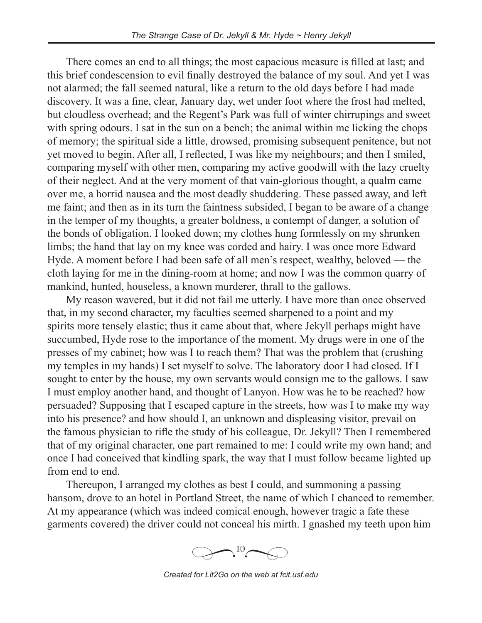There comes an end to all things; the most capacious measure is filled at last; and this brief condescension to evil finally destroyed the balance of my soul. And yet I was not alarmed; the fall seemed natural, like a return to the old days before I had made discovery. It was a fine, clear, January day, wet under foot where the frost had melted, but cloudless overhead; and the Regent's Park was full of winter chirrupings and sweet with spring odours. I sat in the sun on a bench; the animal within me licking the chops of memory; the spiritual side a little, drowsed, promising subsequent penitence, but not yet moved to begin. After all, I reflected, I was like my neighbours; and then I smiled, comparing myself with other men, comparing my active goodwill with the lazy cruelty of their neglect. And at the very moment of that vain-glorious thought, a qualm came over me, a horrid nausea and the most deadly shuddering. These passed away, and left me faint; and then as in its turn the faintness subsided, I began to be aware of a change in the temper of my thoughts, a greater boldness, a contempt of danger, a solution of the bonds of obligation. I looked down; my clothes hung formlessly on my shrunken limbs; the hand that lay on my knee was corded and hairy. I was once more Edward Hyde. A moment before I had been safe of all men's respect, wealthy, beloved — the cloth laying for me in the dining-room at home; and now I was the common quarry of mankind, hunted, houseless, a known murderer, thrall to the gallows.

My reason wavered, but it did not fail me utterly. I have more than once observed that, in my second character, my faculties seemed sharpened to a point and my spirits more tensely elastic; thus it came about that, where Jekyll perhaps might have succumbed, Hyde rose to the importance of the moment. My drugs were in one of the presses of my cabinet; how was I to reach them? That was the problem that (crushing my temples in my hands) I set myself to solve. The laboratory door I had closed. If I sought to enter by the house, my own servants would consign me to the gallows. I saw I must employ another hand, and thought of Lanyon. How was he to be reached? how persuaded? Supposing that I escaped capture in the streets, how was I to make my way into his presence? and how should I, an unknown and displeasing visitor, prevail on the famous physician to rifle the study of his colleague, Dr. Jekyll? Then I remembered that of my original character, one part remained to me: I could write my own hand; and once I had conceived that kindling spark, the way that I must follow became lighted up from end to end.

Thereupon, I arranged my clothes as best I could, and summoning a passing hansom, drove to an hotel in Portland Street, the name of which I chanced to remember. At my appearance (which was indeed comical enough, however tragic a fate these garments covered) the driver could not conceal his mirth. I gnashed my teeth upon him



*Created for Lit2Go on the web at fcit.usf.edu*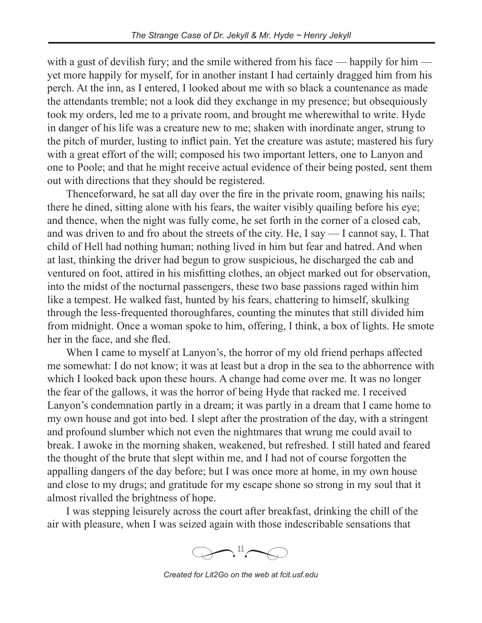with a gust of devilish fury; and the smile withered from his face — happily for him yet more happily for myself, for in another instant I had certainly dragged him from his perch. At the inn, as I entered, I looked about me with so black a countenance as made the attendants tremble; not a look did they exchange in my presence; but obsequiously took my orders, led me to a private room, and brought me wherewithal to write. Hyde in danger of his life was a creature new to me; shaken with inordinate anger, strung to the pitch of murder, lusting to inflict pain. Yet the creature was astute; mastered his fury with a great effort of the will; composed his two important letters, one to Lanyon and one to Poole; and that he might receive actual evidence of their being posted, sent them out with directions that they should be registered.

Thenceforward, he sat all day over the fire in the private room, gnawing his nails; there he dined, sitting alone with his fears, the waiter visibly quailing before his eye; and thence, when the night was fully come, he set forth in the corner of a closed cab, and was driven to and fro about the streets of the city. He, I say — I cannot say, I. That child of Hell had nothing human; nothing lived in him but fear and hatred. And when at last, thinking the driver had begun to grow suspicious, he discharged the cab and ventured on foot, attired in his misfitting clothes, an object marked out for observation, into the midst of the nocturnal passengers, these two base passions raged within him like a tempest. He walked fast, hunted by his fears, chattering to himself, skulking through the less-frequented thoroughfares, counting the minutes that still divided him from midnight. Once a woman spoke to him, offering, I think, a box of lights. He smote her in the face, and she fled.

When I came to myself at Lanyon's, the horror of my old friend perhaps affected me somewhat: I do not know; it was at least but a drop in the sea to the abhorrence with which I looked back upon these hours. A change had come over me. It was no longer the fear of the gallows, it was the horror of being Hyde that racked me. I received Lanyon's condemnation partly in a dream; it was partly in a dream that I came home to my own house and got into bed. I slept after the prostration of the day, with a stringent and profound slumber which not even the nightmares that wrung me could avail to break. I awoke in the morning shaken, weakened, but refreshed. I still hated and feared the thought of the brute that slept within me, and I had not of course forgotten the appalling dangers of the day before; but I was once more at home, in my own house and close to my drugs; and gratitude for my escape shone so strong in my soul that it almost rivalled the brightness of hope.

I was stepping leisurely across the court after breakfast, drinking the chill of the air with pleasure, when I was seized again with those indescribable sensations that



*Created for Lit2Go on the web at fcit.usf.edu*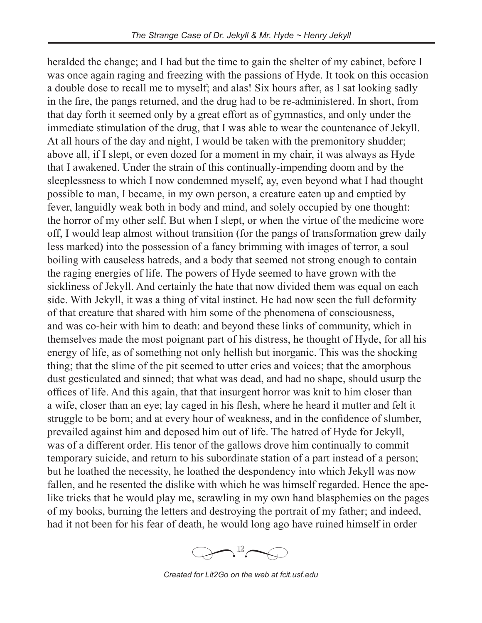heralded the change; and I had but the time to gain the shelter of my cabinet, before I was once again raging and freezing with the passions of Hyde. It took on this occasion a double dose to recall me to myself; and alas! Six hours after, as I sat looking sadly in the fire, the pangs returned, and the drug had to be re-administered. In short, from that day forth it seemed only by a great effort as of gymnastics, and only under the immediate stimulation of the drug, that I was able to wear the countenance of Jekyll. At all hours of the day and night, I would be taken with the premonitory shudder; above all, if I slept, or even dozed for a moment in my chair, it was always as Hyde that I awakened. Under the strain of this continually-impending doom and by the sleeplessness to which I now condemned myself, ay, even beyond what I had thought possible to man, I became, in my own person, a creature eaten up and emptied by fever, languidly weak both in body and mind, and solely occupied by one thought: the horror of my other self. But when I slept, or when the virtue of the medicine wore off, I would leap almost without transition (for the pangs of transformation grew daily less marked) into the possession of a fancy brimming with images of terror, a soul boiling with causeless hatreds, and a body that seemed not strong enough to contain the raging energies of life. The powers of Hyde seemed to have grown with the sickliness of Jekyll. And certainly the hate that now divided them was equal on each side. With Jekyll, it was a thing of vital instinct. He had now seen the full deformity of that creature that shared with him some of the phenomena of consciousness, and was co-heir with him to death: and beyond these links of community, which in themselves made the most poignant part of his distress, he thought of Hyde, for all his energy of life, as of something not only hellish but inorganic. This was the shocking thing; that the slime of the pit seemed to utter cries and voices; that the amorphous dust gesticulated and sinned; that what was dead, and had no shape, should usurp the offices of life. And this again, that that insurgent horror was knit to him closer than a wife, closer than an eye; lay caged in his flesh, where he heard it mutter and felt it struggle to be born; and at every hour of weakness, and in the confidence of slumber, prevailed against him and deposed him out of life. The hatred of Hyde for Jekyll, was of a different order. His tenor of the gallows drove him continually to commit temporary suicide, and return to his subordinate station of a part instead of a person; but he loathed the necessity, he loathed the despondency into which Jekyll was now fallen, and he resented the dislike with which he was himself regarded. Hence the apelike tricks that he would play me, scrawling in my own hand blasphemies on the pages of my books, burning the letters and destroying the portrait of my father; and indeed, had it not been for his fear of death, he would long ago have ruined himself in order



*Created for Lit2Go on the web at fcit.usf.edu*